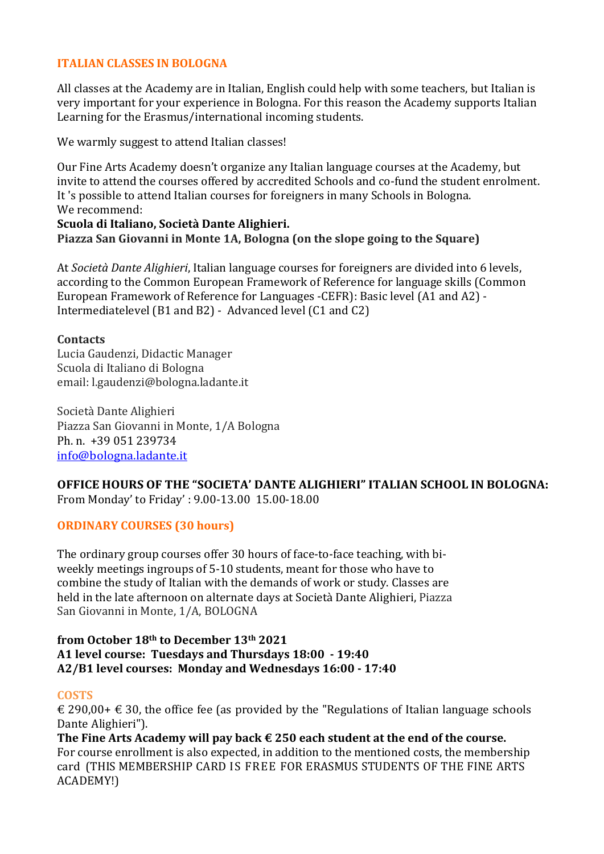# **ITALIAN CLASSES IN BOLOGNA**

All classes at the Academy are in Italian, English could help with some teachers, but Italian is very important for your experience in Bologna. For this reason the Academy supports Italian Learning for the Erasmus/international incoming students.

We warmly suggest to attend Italian classes!

Our Fine Arts Academy doesn't organize any Italian language courses at the Academy, but invite to attend the courses offered by accredited Schools and co-fund the student enrolment. It 's possible to attend Italian courses for foreigners in many Schools in Bologna. We recommend:

#### **Scuola di Italiano, Società Dante Alighieri. Piazza San Giovanni in Monte 1A, Bologna (on the slope going to the Square)**

At *Società Dante Alighieri*, Italian language courses for foreigners are divided into 6 levels. according to the Common European Framework of Reference for language skills (Common European Framework of Reference for Languages -CEFR): Basic level (A1 and A2) -Intermediatelevel (B1 and B2) - Advanced level (C1 and C2)

## **Contacts**

Lucia Gaudenzi, Didactic Manager Scuola di Italiano di Bologna email: l.gaudenzi@bologna.ladante.it

Società Dante Alighieri Piazza San Giovanni in Monte, 1/A Bologna Ph. n. +39 051 239734 info@bologna.ladante.it

**OFFICE HOURS OF THE "SOCIETA' DANTE ALIGHIERI" ITALIAN SCHOOL IN BOLOGNA:** From Monday' to Friday' : 9.00-13.00 15.00-18.00

## **ORDINARY COURSES (30 hours)**

The ordinary group courses offer 30 hours of face-to-face teaching, with biweekly meetings ingroups of 5-10 students, meant for those who have to combine the study of Italian with the demands of work or study. Classes are held in the late afternoon on alternate days at Società Dante Alighieri, Piazza San Giovanni in Monte, 1/A, BOLOGNA

#### **from October 18th to December 13th 2021 A1 level course: Tuesdays and Thursdays 18:00 - 19:40** A2/B1 level courses: Monday and Wednesdays 16:00 - 17:40

## **COSTS**

 $\epsilon$  290,00+  $\epsilon$  30, the office fee (as provided by the "Regulations of Italian language schools Dante Alighieri").

The Fine Arts Academy will pay back  $\epsilon$  250 each student at the end of the course. For course enrollment is also expected, in addition to the mentioned costs, the membership card (THIS MEMBERSHIP CARD IS FREE FOR ERASMUS STUDENTS OF THE FINE ARTS ACADEMY!)